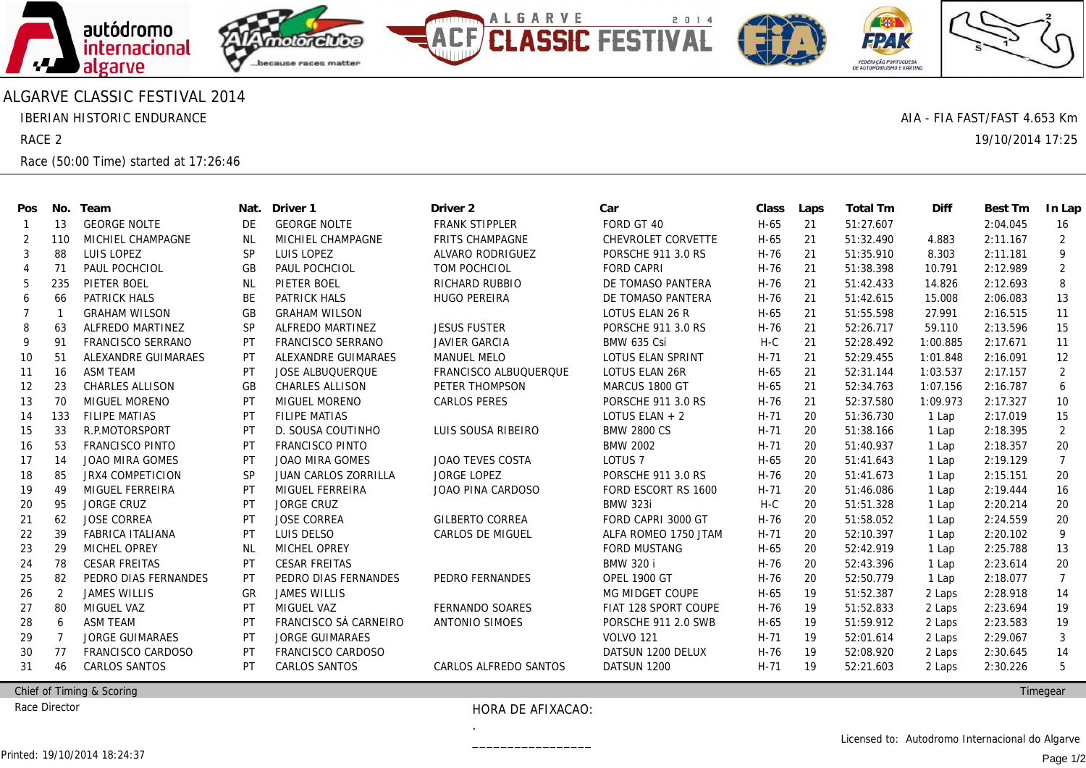

## ALGARVE CLASSIC FESTIVAL 2014

IBERIAN HISTORIC ENDURANCE

RACE 2

Race (50:00 Time) started at 17:26:46

| Pos            | No.            | Team                    | Nat.      | Driver 1                | Driver <sub>2</sub>     | Car                       | Class  | Laps | Total Tm  | Diff     | Best Tm  | In Lap         |
|----------------|----------------|-------------------------|-----------|-------------------------|-------------------------|---------------------------|--------|------|-----------|----------|----------|----------------|
|                | 13             | <b>GEORGE NOLTE</b>     | DE        | <b>GEORGE NOLTE</b>     | <b>FRANK STIPPLER</b>   | FORD GT 40                | H-65   | 21   | 51:27.607 |          | 2:04.045 | 16             |
| 2              | 110            | MICHIEL CHAMPAGNE       | NL        | MICHIEL CHAMPAGNE       | FRITS CHAMPAGNE         | CHEVROLET CORVETTE        | $H-65$ | 21   | 51:32.490 | 4.883    | 2:11.167 | 2              |
| 3              | 88             | <b>LUIS LOPEZ</b>       | <b>SP</b> | <b>LUIS LOPEZ</b>       | ALVARO RODRIGUEZ        | PORSCHE 911 3.0 RS        | H-76   | 21   | 51:35.910 | 8.303    | 2:11.181 | 9              |
| $\overline{4}$ | 71             | PAUL POCHCIOL           | GB        | PAUL POCHCIOL           | <b>TOM POCHCIOL</b>     | <b>FORD CAPRI</b>         | H-76   | 21   | 51:38.398 | 10.791   | 2:12.989 | 2              |
| 5              | 235            | PIETER BOEL             | <b>NL</b> | PIETER BOEL             | RICHARD RUBBIO          | DE TOMASO PANTERA         | H-76   | 21   | 51:42.433 | 14.826   | 2:12.693 | 8              |
| 6              | 66             | PATRICK HALS            | BE        | PATRICK HALS            | <b>HUGO PEREIRA</b>     | DE TOMASO PANTERA         | H-76   | 21   | 51:42.615 | 15.008   | 2:06.083 | 13             |
| 7              |                | <b>GRAHAM WILSON</b>    | GB        | <b>GRAHAM WILSON</b>    |                         | LOTUS ELAN 26 R           | H-65   | 21   | 51:55.598 | 27.991   | 2:16.515 | 11             |
| 8              | 63             | ALFREDO MARTINEZ        | <b>SP</b> | ALFREDO MARTINEZ        | <b>JESUS FUSTER</b>     | <b>PORSCHE 911 3.0 RS</b> | H-76   | 21   | 52:26.717 | 59.110   | 2:13.596 | 15             |
| 9              | 91             | FRANCISCO SERRANO       | PT        | FRANCISCO SERRANO       | <b>JAVIER GARCIA</b>    | <b>BMW 635 Csi</b>        | $H-C$  | 21   | 52:28.492 | 1:00.885 | 2:17.671 | 11             |
| 10             | 51             | ALEXANDRE GUIMARAES     | <b>PT</b> | ALEXANDRE GUIMARAES     | <b>MANUEL MELO</b>      | LOTUS ELAN SPRINT         | $H-71$ | 21   | 52:29.455 | 1:01.848 | 2:16.091 | 12             |
| 11             | 16             | <b>ASM TEAM</b>         | PT        | <b>JOSE ALBUQUERQUE</b> | FRANCISCO ALBUQUERQUE   | LOTUS ELAN 26R            | H-65   | 21   | 52:31.144 | 1:03.537 | 2:17.157 | 2              |
| 12             | 23             | CHARLES ALLISON         | GB        | CHARLES ALLISON         | PETER THOMPSON          | MARCUS 1800 GT            | H-65   | 21   | 52:34.763 | 1:07.156 | 2:16.787 | 6              |
| 13             | 70             | <b>MIGUEL MORENO</b>    | PT        | MIGUEL MORENO           | <b>CARLOS PERES</b>     | PORSCHE 911 3.0 RS        | H-76   | 21   | 52:37.580 | 1:09.973 | 2:17.327 | 10             |
| 14             | 133            | <b>FILIPE MATIAS</b>    | PT        | <b>FILIPE MATIAS</b>    |                         | LOTUS ELAN $+2$           | $H-71$ | 20   | 51:36.730 | 1 Lap    | 2:17.019 | 15             |
| 15             | 33             | R.P.MOTORSPORT          | PT        | D. SOUSA COUTINHO       | LUIS SOUSA RIBEIRO      | <b>BMW 2800 CS</b>        | $H-71$ | 20   | 51:38.166 | 1 Lap    | 2:18.395 | 2              |
| 16             | 53             | <b>FRANCISCO PINTO</b>  | PT        | <b>FRANCISCO PINTO</b>  |                         | <b>BMW 2002</b>           | $H-71$ | 20   | 51:40.937 | 1 Lap    | 2:18.357 | 20             |
| 17             | 14             | <b>JOAO MIRA GOMES</b>  | PT        | <b>JOAO MIRA GOMES</b>  | JOAO TEVES COSTA        | LOTUS <sub>7</sub>        | H-65   | 20   | 51:41.643 | 1 Lap    | 2:19.129 | $\overline{7}$ |
| 18             | 85             | <b>JRX4 COMPETICION</b> | <b>SP</b> | JUAN CARLOS ZORRILLA    | <b>JORGE LOPEZ</b>      | PORSCHE 911 3.0 RS        | H-76   | 20   | 51:41.673 | 1 Lap    | 2:15.151 | 20             |
| 19             | 49             | MIGUEL FERREIRA         | <b>PT</b> | MIGUEL FERREIRA         | JOAO PINA CARDOSO       | FORD ESCORT RS 1600       | $H-71$ | 20   | 51:46.086 | 1 Lap    | 2:19.444 | 16             |
| 20             | 95             | <b>JORGE CRUZ</b>       | PT        | <b>JORGE CRUZ</b>       |                         | <b>BMW 323i</b>           | $H-C$  | 20   | 51:51.328 | 1 Lap    | 2:20.214 | 20             |
| 21             | 62             | <b>JOSE CORREA</b>      | PT        | <b>JOSE CORREA</b>      | <b>GILBERTO CORREA</b>  | FORD CAPRI 3000 GT        | H-76   | 20   | 51:58.052 | 1 Lap    | 2:24.559 | 20             |
| 22             | 39             | FABRICA ITALIANA        | PT        | LUIS DELSO              | <b>CARLOS DE MIGUEL</b> | ALFA ROMEO 1750 JTAM      | $H-71$ | 20   | 52:10.397 | 1 Lap    | 2:20.102 | 9              |
| 23             | 29             | MICHEL OPREY            | <b>NL</b> | <b>MICHEL OPREY</b>     |                         | <b>FORD MUSTANG</b>       | H-65   | 20   | 52:42.919 | 1 Lap    | 2:25.788 | 13             |
| 24             | 78             | <b>CESAR FREITAS</b>    | PT        | <b>CESAR FREITAS</b>    |                         | <b>BMW 320 i</b>          | H-76   | 20   | 52:43.396 | 1 Lap    | 2:23.614 | 20             |
| 25             | 82             | PEDRO DIAS FERNANDES    | PT        | PEDRO DIAS FERNANDES    | PEDRO FERNANDES         | <b>OPEL 1900 GT</b>       | H-76   | 20   | 52:50.779 | 1 Lap    | 2:18.077 | $\overline{7}$ |
| 26             | $\overline{2}$ | <b>JAMES WILLIS</b>     | GR        | <b>JAMES WILLIS</b>     |                         | MG MIDGET COUPE           | H-65   | 19   | 51:52.387 | 2 Laps   | 2:28.918 | 14             |
| 27             | 80             | <b>MIGUEL VAZ</b>       | <b>PT</b> | MIGUEL VAZ              | FERNANDO SOARES         | FIAT 128 SPORT COUPE      | H-76   | 19   | 51:52.833 | 2 Laps   | 2:23.694 | 19             |
| 28             | -6             | <b>ASM TEAM</b>         | PT        | FRANCISCO SÁ CARNEIRO   | ANTONIO SIMOES          | PORSCHE 911 2.0 SWB       | H-65   | 19   | 51:59.912 | 2 Laps   | 2:23.583 | 19             |
| 29             |                | <b>JORGE GUIMARAES</b>  | <b>PT</b> | <b>JORGE GUIMARAES</b>  |                         | <b>VOLVO 121</b>          | $H-71$ | 19   | 52:01.614 | 2 Laps   | 2:29.067 | 3              |
| 30             | 77             | FRANCISCO CARDOSO       | PT        | FRANCISCO CARDOSO       |                         | DATSUN 1200 DELUX         | H-76   | 19   | 52:08.920 | 2 Laps   | 2:30.645 | 14             |
| 31             | 46             | <b>CARLOS SANTOS</b>    | PT        | <b>CARLOS SANTOS</b>    | CARLOS ALFREDO SANTOS   | DATSUN 1200               | $H-71$ | 19   | 52:21.603 | 2 Laps   | 2:30.226 | 5              |
|                |                |                         |           |                         |                         |                           |        |      |           |          |          |                |

Chief of Timing & Scoring

Race Director

## HORA DE AFIXACAO:

.\_\_\_\_\_\_\_\_\_\_\_\_\_\_\_\_\_

**Timegear** 

AIA - FIA FAST/FAST 4.653 Km

19/10/2014 17:25